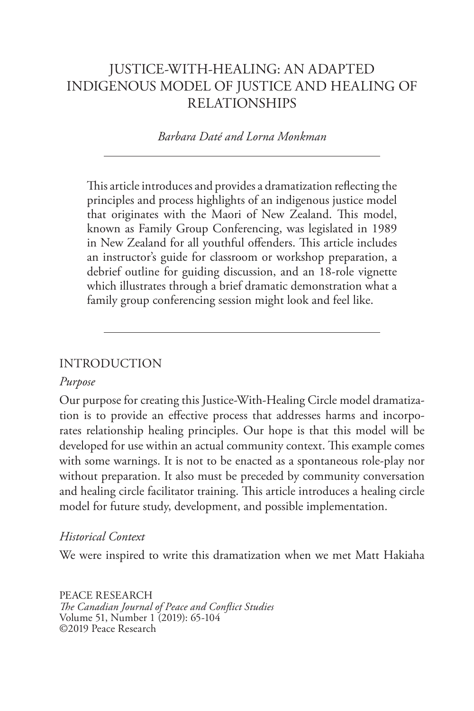## JUSTICE-WITH-HEALING: AN ADAPTED INDIGENOUS MODEL OF JUSTICE AND HEALING OF RELATIONSHIPS

#### *Barbara Daté and Lorna Monkman*

This article introduces and provides a dramatization reflecting the principles and process highlights of an indigenous justice model that originates with the Maori of New Zealand. This model, known as Family Group Conferencing, was legislated in 1989 in New Zealand for all youthful offenders. This article includes an instructor's guide for classroom or workshop preparation, a debrief outline for guiding discussion, and an 18-role vignette which illustrates through a brief dramatic demonstration what a family group conferencing session might look and feel like.

#### INTRODUCTION

#### *Purpose*

Our purpose for creating this Justice-With-Healing Circle model dramatization is to provide an effective process that addresses harms and incorporates relationship healing principles. Our hope is that this model will be developed for use within an actual community context. This example comes with some warnings. It is not to be enacted as a spontaneous role-play nor without preparation. It also must be preceded by community conversation and healing circle facilitator training. This article introduces a healing circle model for future study, development, and possible implementation.

#### *Historical Context*

We were inspired to write this dramatization when we met Matt Hakiaha

PEACE RESEARCH *The Canadian Journal of Peace and Conflict Studies* Volume 51, Number 1 (2019): 65-104 ©2019 Peace Research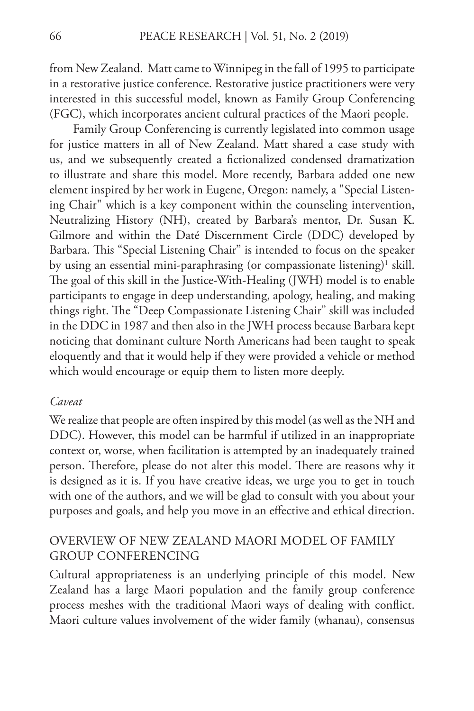from New Zealand. Matt came to Winnipeg in the fall of 1995 to participate in a restorative justice conference. Restorative justice practitioners were very interested in this successful model, known as Family Group Conferencing (FGC), which incorporates ancient cultural practices of the Maori people.

Family Group Conferencing is currently legislated into common usage for justice matters in all of New Zealand. Matt shared a case study with us, and we subsequently created a fictionalized condensed dramatization to illustrate and share this model. More recently, Barbara added one new element inspired by her work in Eugene, Oregon: namely, a "Special Listening Chair" which is a key component within the counseling intervention, Neutralizing History (NH), created by Barbara's mentor, Dr. Susan K. Gilmore and within the Daté Discernment Circle (DDC) developed by Barbara. This "Special Listening Chair" is intended to focus on the speaker by using an essential mini-paraphrasing (or compassionate listening) $^1$  skill. The goal of this skill in the Justice-With-Healing (JWH) model is to enable participants to engage in deep understanding, apology, healing, and making things right. The "Deep Compassionate Listening Chair" skill was included in the DDC in 1987 and then also in the JWH process because Barbara kept noticing that dominant culture North Americans had been taught to speak eloquently and that it would help if they were provided a vehicle or method which would encourage or equip them to listen more deeply.

#### *Caveat*

We realize that people are often inspired by this model (as well as the NH and DDC). However, this model can be harmful if utilized in an inappropriate context or, worse, when facilitation is attempted by an inadequately trained person. Therefore, please do not alter this model. There are reasons why it is designed as it is. If you have creative ideas, we urge you to get in touch with one of the authors, and we will be glad to consult with you about your purposes and goals, and help you move in an effective and ethical direction.

### OVERVIEW OF NEW ZEALAND MAORI MODEL OF FAMILY GROUP CONFERENCING

Cultural appropriateness is an underlying principle of this model. New Zealand has a large Maori population and the family group conference process meshes with the traditional Maori ways of dealing with conflict. Maori culture values involvement of the wider family (whanau), consensus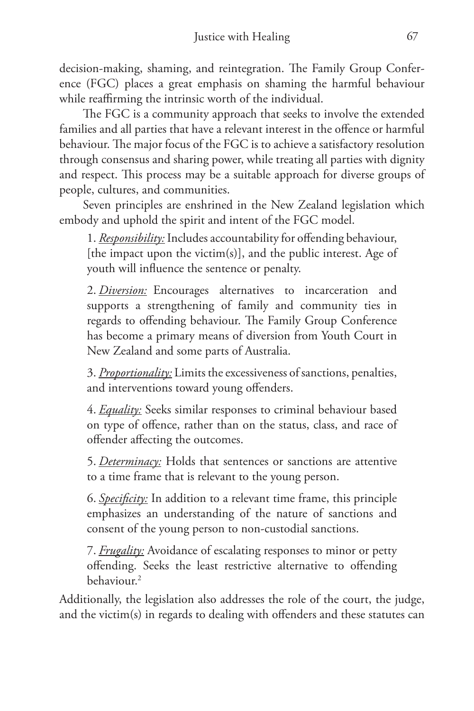decision-making, shaming, and reintegration. The Family Group Conference (FGC) places a great emphasis on shaming the harmful behaviour while reaffirming the intrinsic worth of the individual.

The FGC is a community approach that seeks to involve the extended families and all parties that have a relevant interest in the offence or harmful behaviour. The major focus of the FGC is to achieve a satisfactory resolution through consensus and sharing power, while treating all parties with dignity and respect. This process may be a suitable approach for diverse groups of people, cultures, and communities.

Seven principles are enshrined in the New Zealand legislation which embody and uphold the spirit and intent of the FGC model.

1. *Responsibility:* Includes accountability for offending behaviour, [the impact upon the victim(s)], and the public interest. Age of youth will influence the sentence or penalty.

2. *Diversion:* Encourages alternatives to incarceration and supports a strengthening of family and community ties in regards to offending behaviour. The Family Group Conference has become a primary means of diversion from Youth Court in New Zealand and some parts of Australia.

3. *Proportionality:* Limits the excessiveness of sanctions, penalties, and interventions toward young offenders.

4. *Equality:* Seeks similar responses to criminal behaviour based on type of offence, rather than on the status, class, and race of offender affecting the outcomes.

5. *Determinacy:* Holds that sentences or sanctions are attentive to a time frame that is relevant to the young person.

6. *Specificity:* In addition to a relevant time frame, this principle emphasizes an understanding of the nature of sanctions and consent of the young person to non-custodial sanctions.

7. *Frugality:* Avoidance of escalating responses to minor or petty offending. Seeks the least restrictive alternative to offending  $behaviour<sup>2</sup>$ 

Additionally, the legislation also addresses the role of the court, the judge, and the victim(s) in regards to dealing with offenders and these statutes can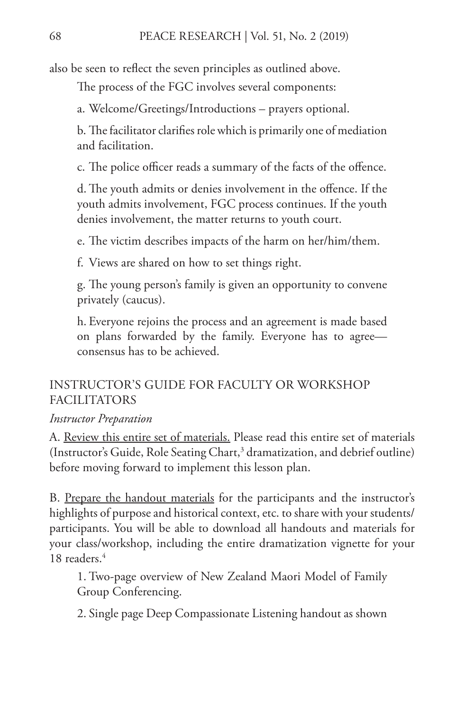also be seen to reflect the seven principles as outlined above.

The process of the FGC involves several components:

a. Welcome/Greetings/Introductions – prayers optional.

b. The facilitator clarifies role which is primarily one of mediation and facilitation.

c. The police officer reads a summary of the facts of the offence.

d. The youth admits or denies involvement in the offence. If the youth admits involvement, FGC process continues. If the youth denies involvement, the matter returns to youth court.

e. The victim describes impacts of the harm on her/him/them.

f. Views are shared on how to set things right.

g. The young person's family is given an opportunity to convene privately (caucus).

h. Everyone rejoins the process and an agreement is made based on plans forwarded by the family. Everyone has to agree consensus has to be achieved.

### INSTRUCTOR'S GUIDE FOR FACULTY OR WORKSHOP FACILITATORS

#### *Instructor Preparation*

A. Review this entire set of materials. Please read this entire set of materials (Instructor's Guide, Role Seating Chart,<sup>3</sup> dramatization, and debrief outline) before moving forward to implement this lesson plan.

B. Prepare the handout materials for the participants and the instructor's highlights of purpose and historical context, etc. to share with your students/ participants. You will be able to download all handouts and materials for your class/workshop, including the entire dramatization vignette for your 18 readers.<sup>4</sup>

1. Two-page overview of New Zealand Maori Model of Family Group Conferencing.

2. Single page Deep Compassionate Listening handout as shown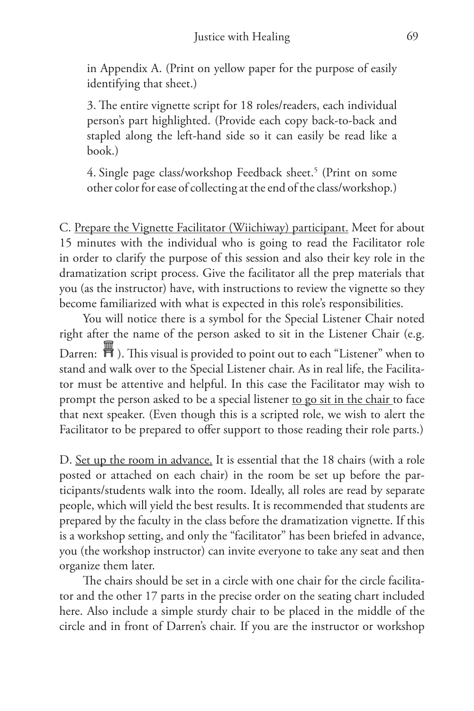in Appendix A. (Print on yellow paper for the purpose of easily identifying that sheet.)

3. The entire vignette script for 18 roles/readers, each individual person's part highlighted. (Provide each copy back-to-back and stapled along the left-hand side so it can easily be read like a book.)

4. Single page class/workshop Feedback sheet.<sup>5</sup> (Print on some other color for ease of collecting at the end of the class/workshop.)

C. Prepare the Vignette Facilitator (Wiichiway) participant. Meet for about 15 minutes with the individual who is going to read the Facilitator role in order to clarify the purpose of this session and also their key role in the dramatization script process. Give the facilitator all the prep materials that you (as the instructor) have, with instructions to review the vignette so they become familiarized with what is expected in this role's responsibilities.

You will notice there is a symbol for the Special Listener Chair noted right after the name of the person asked to sit in the Listener Chair (e.g. Darren:  $\mathbb{H}$ ). This visual is provided to point out to each "Listener" when to stand and walk over to the Special Listener chair. As in real life, the Facilitator must be attentive and helpful. In this case the Facilitator may wish to prompt the person asked to be a special listener to go sit in the chair to face that next speaker. (Even though this is a scripted role, we wish to alert the Facilitator to be prepared to offer support to those reading their role parts.)

D. Set up the room in advance. It is essential that the 18 chairs (with a role posted or attached on each chair) in the room be set up before the participants/students walk into the room. Ideally, all roles are read by separate people, which will yield the best results. It is recommended that students are prepared by the faculty in the class before the dramatization vignette. If this is a workshop setting, and only the "facilitator" has been briefed in advance, you (the workshop instructor) can invite everyone to take any seat and then organize them later.

The chairs should be set in a circle with one chair for the circle facilitator and the other 17 parts in the precise order on the seating chart included here. Also include a simple sturdy chair to be placed in the middle of the circle and in front of Darren's chair. If you are the instructor or workshop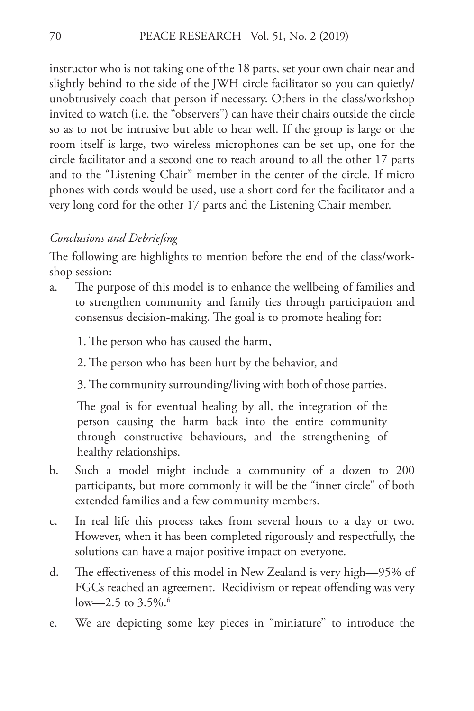instructor who is not taking one of the 18 parts, set your own chair near and slightly behind to the side of the JWH circle facilitator so you can quietly/ unobtrusively coach that person if necessary. Others in the class/workshop invited to watch (i.e. the "observers") can have their chairs outside the circle so as to not be intrusive but able to hear well. If the group is large or the room itself is large, two wireless microphones can be set up, one for the circle facilitator and a second one to reach around to all the other 17 parts and to the "Listening Chair" member in the center of the circle. If micro phones with cords would be used, use a short cord for the facilitator and a very long cord for the other 17 parts and the Listening Chair member.

#### *Conclusions and Debriefing*

The following are highlights to mention before the end of the class/workshop session:

- a. The purpose of this model is to enhance the wellbeing of families and to strengthen community and family ties through participation and consensus decision-making. The goal is to promote healing for:
	- 1. The person who has caused the harm,
	- 2. The person who has been hurt by the behavior, and
	- 3. The community surrounding/living with both of those parties.

The goal is for eventual healing by all, the integration of the person causing the harm back into the entire community through constructive behaviours, and the strengthening of healthy relationships.

- b. Such a model might include a community of a dozen to 200 participants, but more commonly it will be the "inner circle" of both extended families and a few community members.
- c. In real life this process takes from several hours to a day or two. However, when it has been completed rigorously and respectfully, the solutions can have a major positive impact on everyone.
- d. The effectiveness of this model in New Zealand is very high—95% of FGCs reached an agreement. Recidivism or repeat offending was very low—2.5 to  $3.5\%$ .<sup>6</sup>
- e. We are depicting some key pieces in "miniature" to introduce the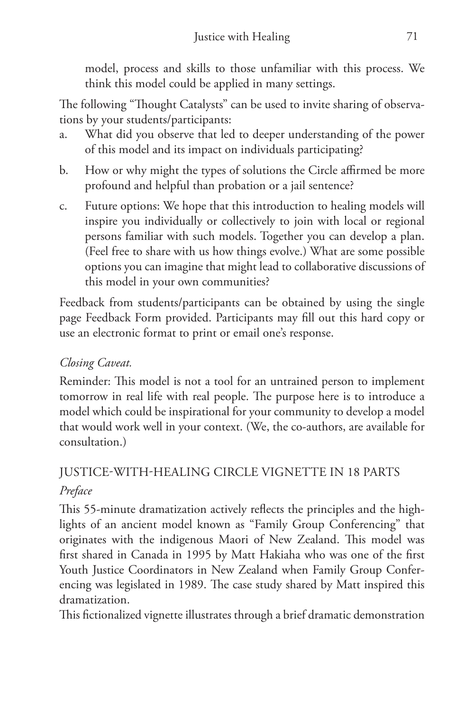model, process and skills to those unfamiliar with this process. We think this model could be applied in many settings.

The following "Thought Catalysts" can be used to invite sharing of observations by your students/participants:

- a. What did you observe that led to deeper understanding of the power of this model and its impact on individuals participating?
- b. How or why might the types of solutions the Circle affirmed be more profound and helpful than probation or a jail sentence?
- c. Future options: We hope that this introduction to healing models will inspire you individually or collectively to join with local or regional persons familiar with such models. Together you can develop a plan. (Feel free to share with us how things evolve.) What are some possible options you can imagine that might lead to collaborative discussions of this model in your own communities?

Feedback from students/participants can be obtained by using the single page Feedback Form provided. Participants may fill out this hard copy or use an electronic format to print or email one's response.

## *Closing Caveat.*

Reminder: This model is not a tool for an untrained person to implement tomorrow in real life with real people. The purpose here is to introduce a model which could be inspirational for your community to develop a model that would work well in your context. (We, the co-authors, are available for consultation.)

# JUSTICE-WITH-HEALING CIRCLE VIGNETTE IN 18 PARTS *Preface*

This 55-minute dramatization actively reflects the principles and the highlights of an ancient model known as "Family Group Conferencing" that originates with the indigenous Maori of New Zealand. This model was first shared in Canada in 1995 by Matt Hakiaha who was one of the first Youth Justice Coordinators in New Zealand when Family Group Conferencing was legislated in 1989. The case study shared by Matt inspired this dramatization.

This fictionalized vignette illustrates through a brief dramatic demonstration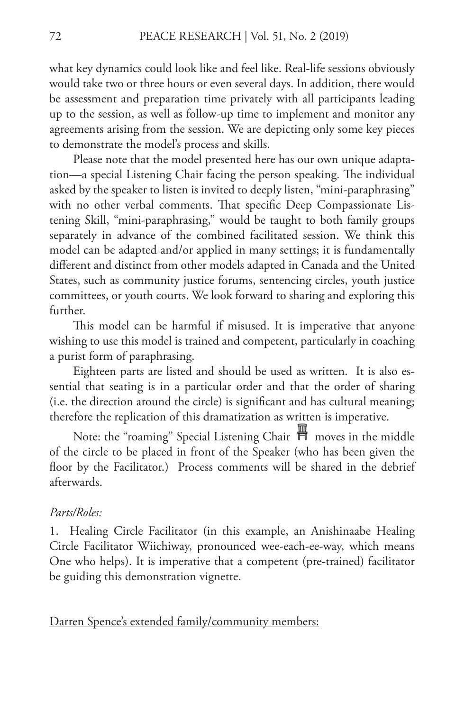what key dynamics could look like and feel like. Real-life sessions obviously would take two or three hours or even several days. In addition, there would be assessment and preparation time privately with all participants leading up to the session, as well as follow-up time to implement and monitor any agreements arising from the session. We are depicting only some key pieces to demonstrate the model's process and skills.

Please note that the model presented here has our own unique adaptation—a special Listening Chair facing the person speaking. The individual asked by the speaker to listen is invited to deeply listen, "mini-paraphrasing" with no other verbal comments. That specific Deep Compassionate Listening Skill, "mini-paraphrasing," would be taught to both family groups separately in advance of the combined facilitated session. We think this model can be adapted and/or applied in many settings; it is fundamentally different and distinct from other models adapted in Canada and the United States, such as community justice forums, sentencing circles, youth justice committees, or youth courts. We look forward to sharing and exploring this further.

This model can be harmful if misused. It is imperative that anyone wishing to use this model is trained and competent, particularly in coaching a purist form of paraphrasing.

Eighteen parts are listed and should be used as written. It is also essential that seating is in a particular order and that the order of sharing (i.e. the direction around the circle) is significant and has cultural meaning; therefore the replication of this dramatization as written is imperative.

Note: the "roaming" Special Listening Chair  $\overline{\mathbb{H}}$  moves in the middle of the circle to be placed in front of the Speaker (who has been given the floor by the Facilitator.) Process comments will be shared in the debrief afterwards.

#### *Parts/Roles:*

1. Healing Circle Facilitator (in this example, an Anishinaabe Healing Circle Facilitator Wiichiway, pronounced wee-each-ee-way, which means One who helps). It is imperative that a competent (pre-trained) facilitator be guiding this demonstration vignette.

Darren Spence's extended family/community members: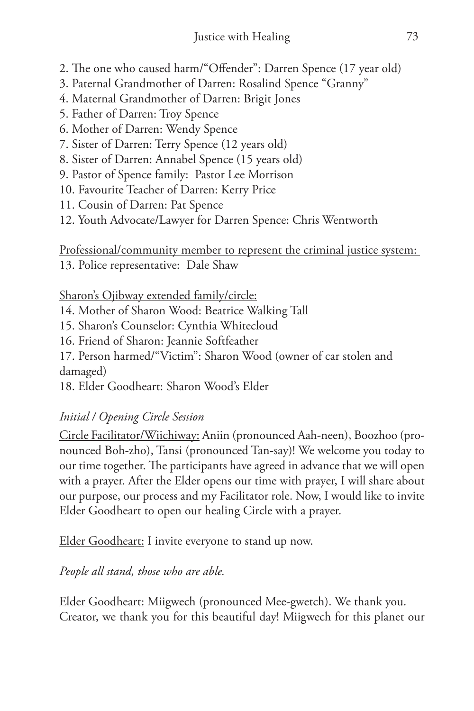- 2. The one who caused harm/"Offender": Darren Spence (17 year old)
- 3. Paternal Grandmother of Darren: Rosalind Spence "Granny"
- 4. Maternal Grandmother of Darren: Brigit Jones
- 5. Father of Darren: Troy Spence
- 6. Mother of Darren: Wendy Spence
- 7. Sister of Darren: Terry Spence (12 years old)
- 8. Sister of Darren: Annabel Spence (15 years old)
- 9. Pastor of Spence family: Pastor Lee Morrison
- 10. Favourite Teacher of Darren: Kerry Price
- 11. Cousin of Darren: Pat Spence
- 12. Youth Advocate/Lawyer for Darren Spence: Chris Wentworth

Professional/community member to represent the criminal justice system: 13. Police representative: Dale Shaw

### Sharon's Ojibway extended family/circle:

- 14. Mother of Sharon Wood: Beatrice Walking Tall
- 15. Sharon's Counselor: Cynthia Whitecloud
- 16. Friend of Sharon: Jeannie Softfeather

17. Person harmed/"Victim": Sharon Wood (owner of car stolen and damaged)

18. Elder Goodheart: Sharon Wood's Elder

## *Initial / Opening Circle Session*

Circle Facilitator/Wiichiway: Aniin (pronounced Aah-neen), Boozhoo (pronounced Boh-zho), Tansi (pronounced Tan-say)! We welcome you today to our time together. The participants have agreed in advance that we will open with a prayer. After the Elder opens our time with prayer, I will share about our purpose, our process and my Facilitator role. Now, I would like to invite Elder Goodheart to open our healing Circle with a prayer.

Elder Goodheart: I invite everyone to stand up now.

## *People all stand, those who are able.*

Elder Goodheart: Miigwech (pronounced Mee-gwetch). We thank you. Creator, we thank you for this beautiful day! Miigwech for this planet our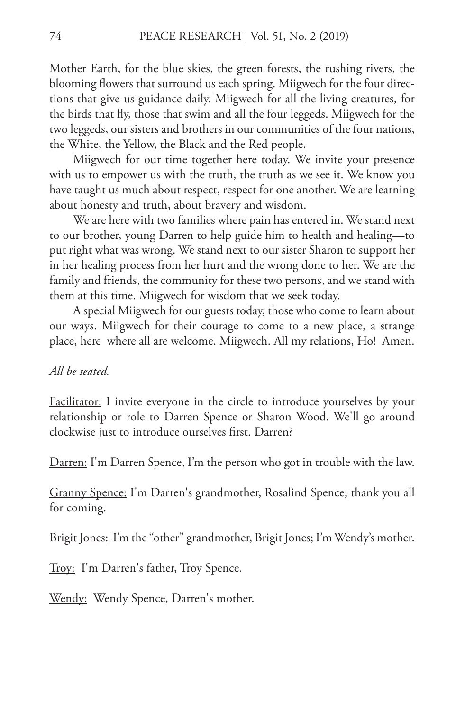Mother Earth, for the blue skies, the green forests, the rushing rivers, the blooming flowers that surround us each spring. Miigwech for the four directions that give us guidance daily. Miigwech for all the living creatures, for the birds that fly, those that swim and all the four leggeds. Miigwech for the two leggeds, our sisters and brothers in our communities of the four nations, the White, the Yellow, the Black and the Red people.

Miigwech for our time together here today. We invite your presence with us to empower us with the truth, the truth as we see it. We know you have taught us much about respect, respect for one another. We are learning about honesty and truth, about bravery and wisdom.

We are here with two families where pain has entered in. We stand next to our brother, young Darren to help guide him to health and healing—to put right what was wrong. We stand next to our sister Sharon to support her in her healing process from her hurt and the wrong done to her. We are the family and friends, the community for these two persons, and we stand with them at this time. Miigwech for wisdom that we seek today.

A special Miigwech for our guests today, those who come to learn about our ways. Miigwech for their courage to come to a new place, a strange place, here where all are welcome. Miigwech. All my relations, Ho! Amen.

#### *All be seated.*

Facilitator: I invite everyone in the circle to introduce yourselves by your relationship or role to Darren Spence or Sharon Wood. We'll go around clockwise just to introduce ourselves first. Darren?

Darren: I'm Darren Spence, I'm the person who got in trouble with the law.

Granny Spence: I'm Darren's grandmother, Rosalind Spence; thank you all for coming.

Brigit Jones: I'm the "other" grandmother, Brigit Jones; I'm Wendy's mother.

Troy: I'm Darren's father, Troy Spence.

Wendy: Wendy Spence, Darren's mother.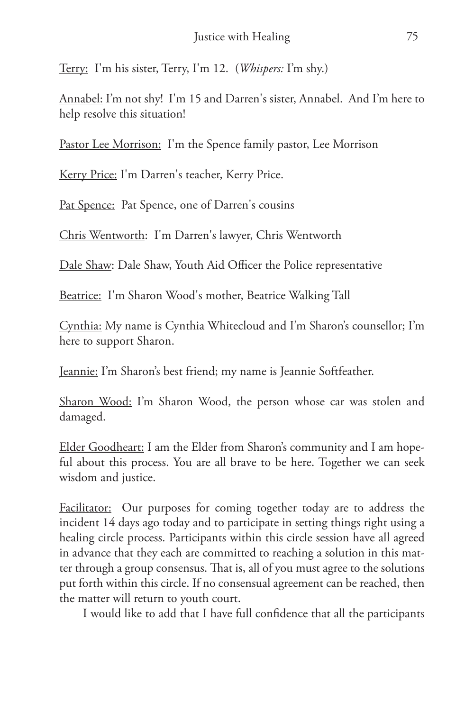Terry: I'm his sister, Terry, I'm 12. (*Whispers:* I'm shy.)

<u>Annabel:</u> I'm not shy! I'm 15 and Darren's sister, Annabel. And I'm here to help resolve this situation!

Pastor Lee Morrison: I'm the Spence family pastor, Lee Morrison

Kerry Price: I'm Darren's teacher, Kerry Price.

Pat Spence: Pat Spence, one of Darren's cousins

Chris Wentworth: I'm Darren's lawyer, Chris Wentworth

Dale Shaw: Dale Shaw, Youth Aid Officer the Police representative

Beatrice: I'm Sharon Wood's mother, Beatrice Walking Tall

Cynthia: My name is Cynthia Whitecloud and I'm Sharon's counsellor; I'm here to support Sharon.

Jeannie: I'm Sharon's best friend; my name is Jeannie Softfeather.

Sharon Wood: I'm Sharon Wood, the person whose car was stolen and damaged.

Elder Goodheart: I am the Elder from Sharon's community and I am hopeful about this process. You are all brave to be here. Together we can seek wisdom and justice.

Facilitator: Our purposes for coming together today are to address the incident 14 days ago today and to participate in setting things right using a healing circle process. Participants within this circle session have all agreed in advance that they each are committed to reaching a solution in this matter through a group consensus. That is, all of you must agree to the solutions put forth within this circle. If no consensual agreement can be reached, then the matter will return to youth court.

I would like to add that I have full confidence that all the participants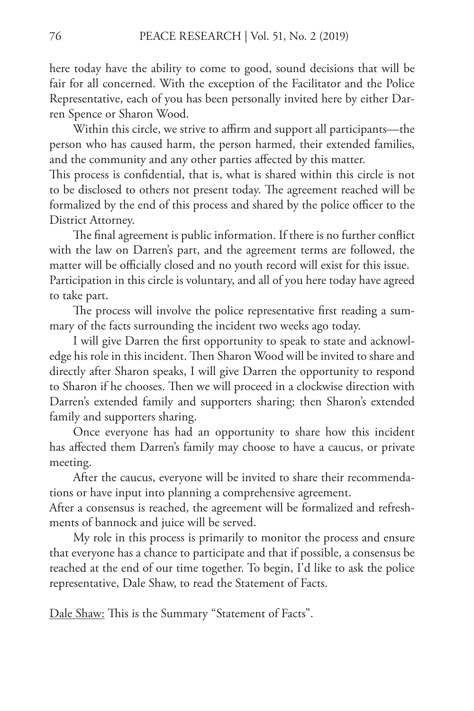here today have the ability to come to good, sound decisions that will be fair for all concerned. With the exception of the Facilitator and the Police Representative, each of you has been personally invited here by either Darren Spence or Sharon Wood.

Within this circle, we strive to affirm and support all participants—the person who has caused harm, the person harmed, their extended families, and the community and any other parties affected by this matter.

This process is confidential, that is, what is shared within this circle is not to be disclosed to others not present today. The agreement reached will be formalized by the end of this process and shared by the police officer to the District Attorney.

The final agreement is public information. If there is no further conflict with the law on Darren's part, and the agreement terms are followed, the matter will be officially closed and no youth record will exist for this issue. Participation in this circle is voluntary, and all of you here today have agreed to take part.

The process will involve the police representative first reading a summary of the facts surrounding the incident two weeks ago today.

I will give Darren the first opportunity to speak to state and acknowledge his role in this incident. Then Sharon Wood will be invited to share and directly after Sharon speaks, I will give Darren the opportunity to respond to Sharon if he chooses. Then we will proceed in a clockwise direction with Darren's extended family and supporters sharing; then Sharon's extended family and supporters sharing.

Once everyone has had an opportunity to share how this incident has affected them Darren's family may choose to have a caucus, or private meeting.

After the caucus, everyone will be invited to share their recommendations or have input into planning a comprehensive agreement.

After a consensus is reached, the agreement will be formalized and refreshments of bannock and juice will be served.

My role in this process is primarily to monitor the process and ensure that everyone has a chance to participate and that if possible, a consensus be reached at the end of our time together. To begin, I'd like to ask the police representative, Dale Shaw, to read the Statement of Facts.

Dale Shaw: This is the Summary "Statement of Facts".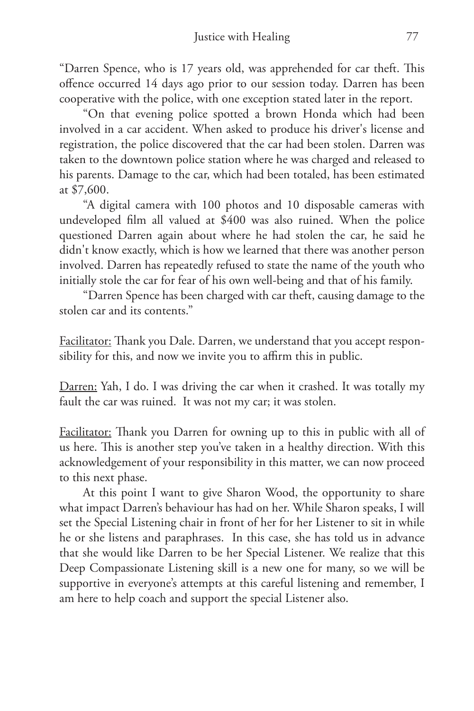"Darren Spence, who is 17 years old, was apprehended for car theft. This offence occurred 14 days ago prior to our session today. Darren has been cooperative with the police, with one exception stated later in the report.

"On that evening police spotted a brown Honda which had been involved in a car accident. When asked to produce his driver's license and registration, the police discovered that the car had been stolen. Darren was taken to the downtown police station where he was charged and released to his parents. Damage to the car, which had been totaled, has been estimated at \$7,600.

"A digital camera with 100 photos and 10 disposable cameras with undeveloped film all valued at \$400 was also ruined. When the police questioned Darren again about where he had stolen the car, he said he didn't know exactly, which is how we learned that there was another person involved. Darren has repeatedly refused to state the name of the youth who initially stole the car for fear of his own well-being and that of his family.

"Darren Spence has been charged with car theft, causing damage to the stolen car and its contents."

Facilitator: Thank you Dale. Darren, we understand that you accept responsibility for this, and now we invite you to affirm this in public.

Darren: Yah, I do. I was driving the car when it crashed. It was totally my fault the car was ruined. It was not my car; it was stolen.

Facilitator: Thank you Darren for owning up to this in public with all of us here. This is another step you've taken in a healthy direction. With this acknowledgement of your responsibility in this matter, we can now proceed to this next phase.

At this point I want to give Sharon Wood, the opportunity to share what impact Darren's behaviour has had on her. While Sharon speaks, I will set the Special Listening chair in front of her for her Listener to sit in while he or she listens and paraphrases. In this case, she has told us in advance that she would like Darren to be her Special Listener. We realize that this Deep Compassionate Listening skill is a new one for many, so we will be supportive in everyone's attempts at this careful listening and remember, I am here to help coach and support the special Listener also.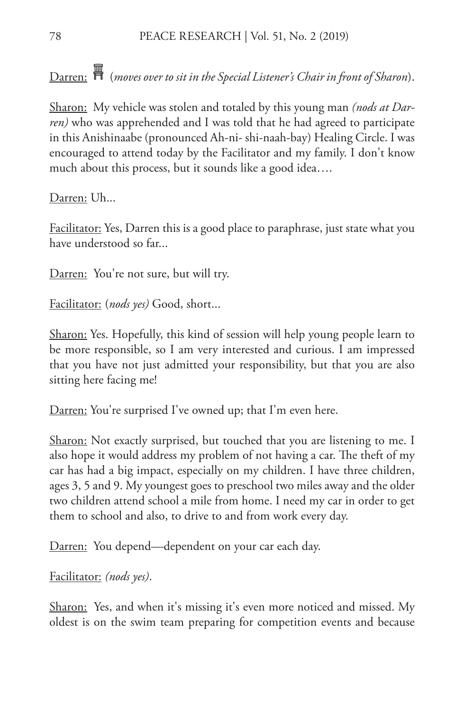Darren: (*moves over to sit in the Special Listener's Chair in front of Sharon*).

Sharon: My vehicle was stolen and totaled by this young man *(nods at Darren)* who was apprehended and I was told that he had agreed to participate in this Anishinaabe (pronounced Ah-ni- shi-naah-bay) Healing Circle. I was encouraged to attend today by the Facilitator and my family. I don't know much about this process, but it sounds like a good idea….

Darren: Uh...

Facilitator: Yes, Darren this is a good place to paraphrase, just state what you have understood so far...

Darren: You're not sure, but will try.

Facilitator: (*nods yes)* Good, short...

Sharon: Yes. Hopefully, this kind of session will help young people learn to be more responsible, so I am very interested and curious. I am impressed that you have not just admitted your responsibility, but that you are also sitting here facing me!

Darren: You're surprised I've owned up; that I'm even here.

Sharon: Not exactly surprised, but touched that you are listening to me. I also hope it would address my problem of not having a car. The theft of my car has had a big impact, especially on my children. I have three children, ages 3, 5 and 9. My youngest goes to preschool two miles away and the older two children attend school a mile from home. I need my car in order to get them to school and also, to drive to and from work every day.

Darren: You depend—dependent on your car each day.

Facilitator: *(nods yes)*.

Sharon: Yes, and when it's missing it's even more noticed and missed. My oldest is on the swim team preparing for competition events and because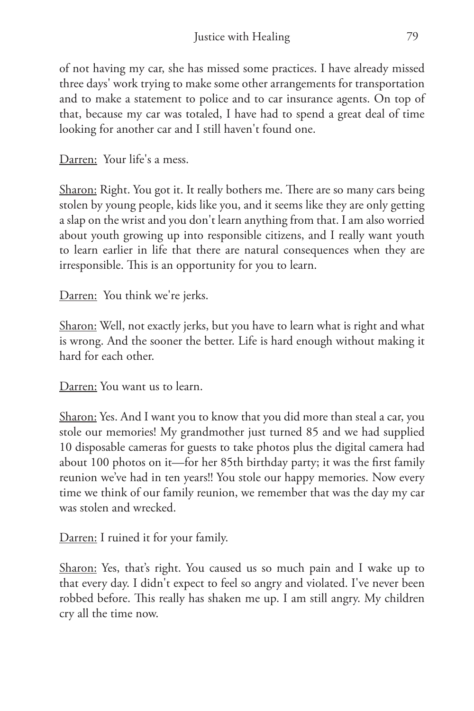of not having my car, she has missed some practices. I have already missed three days' work trying to make some other arrangements for transportation and to make a statement to police and to car insurance agents. On top of that, because my car was totaled, I have had to spend a great deal of time looking for another car and I still haven't found one.

Darren: Your life's a mess.

Sharon: Right. You got it. It really bothers me. There are so many cars being stolen by young people, kids like you, and it seems like they are only getting a slap on the wrist and you don't learn anything from that. I am also worried about youth growing up into responsible citizens, and I really want youth to learn earlier in life that there are natural consequences when they are irresponsible. This is an opportunity for you to learn.

Darren: You think we're jerks.

Sharon: Well, not exactly jerks, but you have to learn what is right and what is wrong. And the sooner the better. Life is hard enough without making it hard for each other.

Darren: You want us to learn.

Sharon: Yes. And I want you to know that you did more than steal a car, you stole our memories! My grandmother just turned 85 and we had supplied 10 disposable cameras for guests to take photos plus the digital camera had about 100 photos on it—for her 85th birthday party; it was the first family reunion we've had in ten years!! You stole our happy memories. Now every time we think of our family reunion, we remember that was the day my car was stolen and wrecked.

Darren: I ruined it for your family.

Sharon: Yes, that's right. You caused us so much pain and I wake up to that every day. I didn't expect to feel so angry and violated. I've never been robbed before. This really has shaken me up. I am still angry. My children cry all the time now.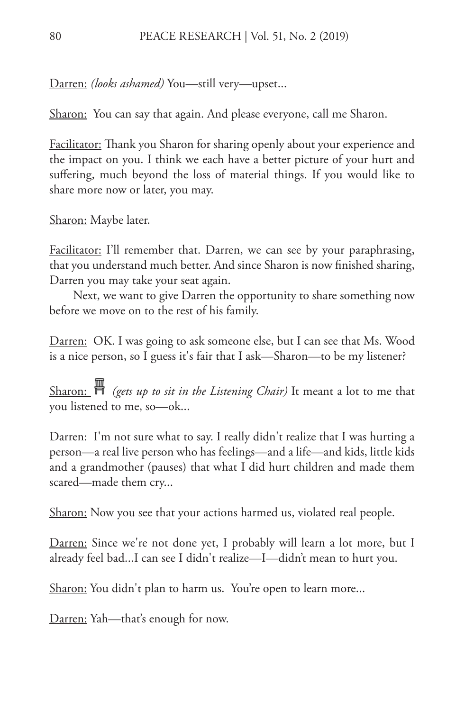Darren: *(looks ashamed)* You—still very—upset...

Sharon: You can say that again. And please everyone, call me Sharon.

Facilitator: Thank you Sharon for sharing openly about your experience and the impact on you. I think we each have a better picture of your hurt and suffering, much beyond the loss of material things. If you would like to share more now or later, you may.

Sharon: Maybe later.

Facilitator: I'll remember that. Darren, we can see by your paraphrasing, that you understand much better. And since Sharon is now finished sharing, Darren you may take your seat again.

Next, we want to give Darren the opportunity to share something now before we move on to the rest of his family.

Darren: OK. I was going to ask someone else, but I can see that Ms. Wood is a nice person, so I guess it's fair that I ask—Sharon—to be my listener?

Sharon:  $\mathbb{H}$  (gets up to sit in the Listening Chair) It meant a lot to me that you listened to me, so—ok...

Darren: I'm not sure what to say. I really didn't realize that I was hurting a person—a real live person who has feelings—and a life—and kids, little kids and a grandmother (pauses) that what I did hurt children and made them scared—made them cry...

Sharon: Now you see that your actions harmed us, violated real people.

Darren: Since we're not done yet, I probably will learn a lot more, but I already feel bad...I can see I didn't realize—I—didn't mean to hurt you.

Sharon: You didn't plan to harm us. You're open to learn more...

Darren: Yah—that's enough for now.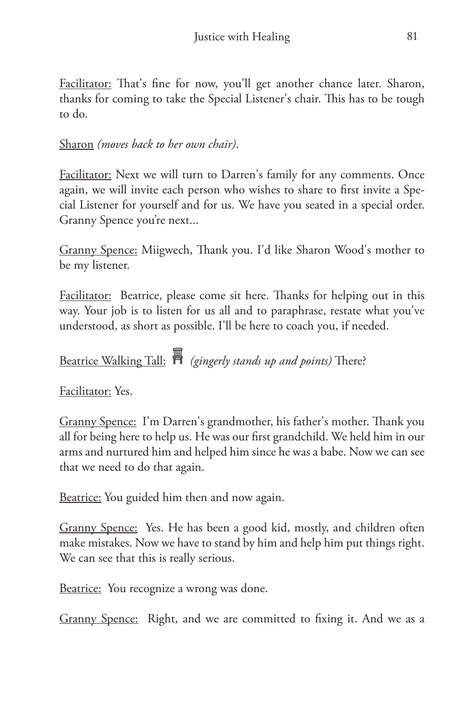Facilitator: That's fine for now, you'll get another chance later. Sharon, thanks for coming to take the Special Listener's chair. This has to be tough to do.

### Sharon *(moves back to her own chair)*.

**Facilitator:** Next we will turn to Darren's family for any comments. Once again, we will invite each person who wishes to share to first invite a Special Listener for yourself and for us. We have you seated in a special order. Granny Spence you're next...

Granny Spence: Miigwech, Thank you. I'd like Sharon Wood's mother to be my listener.

Facilitator: Beatrice, please come sit here. Thanks for helping out in this way. Your job is to listen for us all and to paraphrase, restate what you've understood, as short as possible. I'll be here to coach you, if needed.

Beatrice Walking Tall: *(gingerly stands up and points)* There?

Facilitator: Yes.

Granny Spence: I'm Darren's grandmother, his father's mother. Thank you all for being here to help us. He was our first grandchild. We held him in our arms and nurtured him and helped him since he was a babe. Now we can see that we need to do that again.

Beatrice: You guided him then and now again.

Granny Spence: Yes. He has been a good kid, mostly, and children often make mistakes. Now we have to stand by him and help him put things right. We can see that this is really serious.

Beatrice: You recognize a wrong was done.

Granny Spence: Right, and we are committed to fixing it. And we as a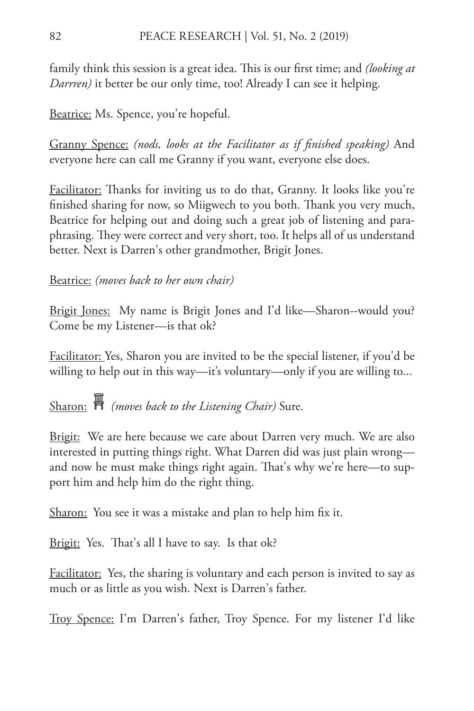family think this session is a great idea. This is our first time; and *(looking at Darrren)* it better be our only time, too! Already I can see it helping.

Beatrice: Ms. Spence, you're hopeful.

Granny Spence: *(nods, looks at the Facilitator as if finished speaking)* And everyone here can call me Granny if you want, everyone else does.

Facilitator: Thanks for inviting us to do that, Granny. It looks like you're finished sharing for now, so Miigwech to you both. Thank you very much, Beatrice for helping out and doing such a great job of listening and paraphrasing. They were correct and very short, too. It helps all of us understand better. Next is Darren's other grandmother, Brigit Jones.

### Beatrice: *(moves back to her own chair)*

Brigit Jones: My name is Brigit Jones and I'd like-Sharon--would you? Come be my Listener—is that ok?

Facilitator: Yes, Sharon you are invited to be the special listener, if you'd be willing to help out in this way—it's voluntary—only if you are willing to...

Sharon: *(moves back to the Listening Chair)* Sure.

<u>Brigit:</u> We are here because we care about Darren very much. We are also interested in putting things right. What Darren did was just plain wrong and now he must make things right again. That's why we're here—to support him and help him do the right thing.

Sharon: You see it was a mistake and plan to help him fix it.

Brigit: Yes. That's all I have to say. Is that ok?

Facilitator: Yes, the sharing is voluntary and each person is invited to say as much or as little as you wish. Next is Darren's father.

Troy Spence: I'm Darren's father, Troy Spence. For my listener I'd like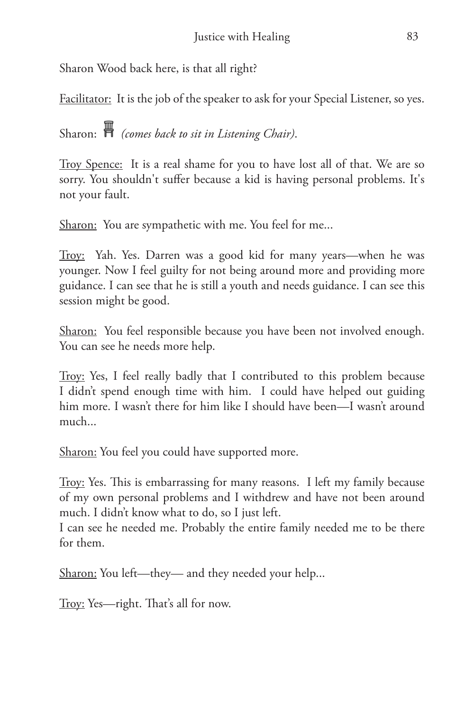Sharon Wood back here, is that all right?

Facilitator: It is the job of the speaker to ask for your Special Listener, so yes.

Sharon: *(comes back to sit in Listening Chair)*.

Troy Spence: It is a real shame for you to have lost all of that. We are so sorry. You shouldn't suffer because a kid is having personal problems. It's not your fault.

Sharon: You are sympathetic with me. You feel for me...

Troy: Yah. Yes. Darren was a good kid for many years—when he was younger. Now I feel guilty for not being around more and providing more guidance. I can see that he is still a youth and needs guidance. I can see this session might be good.

Sharon: You feel responsible because you have been not involved enough. You can see he needs more help.

Troy: Yes, I feel really badly that I contributed to this problem because I didn't spend enough time with him. I could have helped out guiding him more. I wasn't there for him like I should have been—I wasn't around much...

Sharon: You feel you could have supported more.

Troy: Yes. This is embarrassing for many reasons. I left my family because of my own personal problems and I withdrew and have not been around much. I didn't know what to do, so I just left.

I can see he needed me. Probably the entire family needed me to be there for them.

Sharon: You left—they— and they needed your help...

Troy: Yes—right. That's all for now.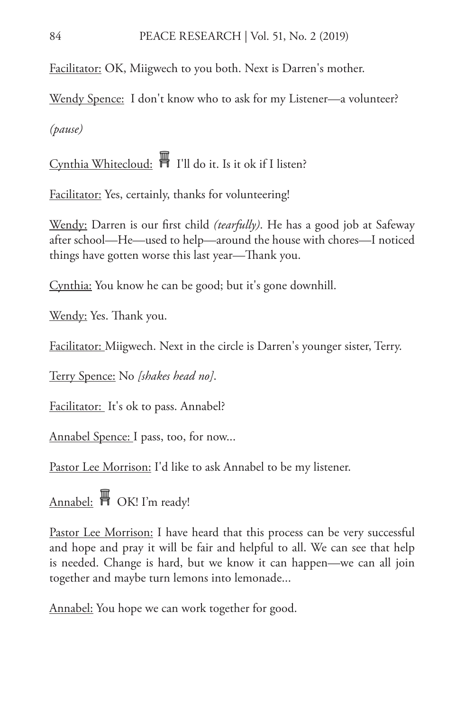Facilitator: OK, Miigwech to you both. Next is Darren's mother.

<u>Wendy Spence:</u> I don't know who to ask for my Listener—a volunteer? *(pause)*

Cynthia Whitecloud: I'll do it. Is it ok if I listen?

Facilitator: Yes, certainly, thanks for volunteering!

Wendy: Darren is our first child *(tearfully)*. He has a good job at Safeway after school—He—used to help—around the house with chores—I noticed things have gotten worse this last year—Thank you.

Cynthia: You know he can be good; but it's gone downhill.

Wendy: Yes. Thank you.

Facilitator: Miigwech. Next in the circle is Darren's younger sister, Terry.

Terry Spence: No *[shakes head no]*.

Facilitator: It's ok to pass. Annabel?

Annabel Spence: I pass, too, for now...

Pastor Lee Morrison: I'd like to ask Annabel to be my listener.

Annabel: **H** OK! I'm ready!

Pastor Lee Morrison: I have heard that this process can be very successful and hope and pray it will be fair and helpful to all. We can see that help is needed. Change is hard, but we know it can happen—we can all join together and maybe turn lemons into lemonade...

Annabel: You hope we can work together for good.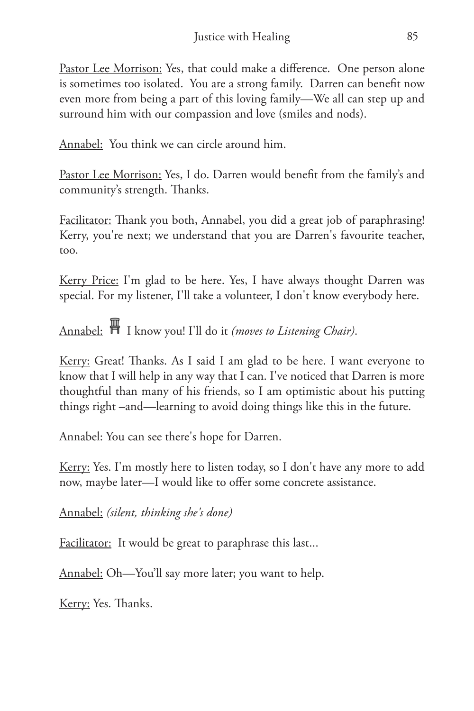Pastor Lee Morrison: Yes, that could make a difference. One person alone is sometimes too isolated. You are a strong family. Darren can benefit now even more from being a part of this loving family—We all can step up and surround him with our compassion and love (smiles and nods).

Annabel: You think we can circle around him.

Pastor Lee Morrison: Yes, I do. Darren would benefit from the family's and community's strength. Thanks.

Facilitator: Thank you both, Annabel, you did a great job of paraphrasing! Kerry, you're next; we understand that you are Darren's favourite teacher, too.

<u>Kerry Price:</u> I'm glad to be here. Yes, I have always thought Darren was special. For my listener, I'll take a volunteer, I don't know everybody here.

Annabel: I know you! I'll do it *(moves to Listening Chair)*.

<u>Kerry:</u> Great! Thanks. As I said I am glad to be here. I want everyone to know that I will help in any way that I can. I've noticed that Darren is more thoughtful than many of his friends, so I am optimistic about his putting things right –and—learning to avoid doing things like this in the future.

Annabel: You can see there's hope for Darren.

Kerry: Yes. I'm mostly here to listen today, so I don't have any more to add now, maybe later—I would like to offer some concrete assistance.

Annabel: *(silent, thinking she's done)*

Facilitator: It would be great to paraphrase this last...

Annabel: Oh—You'll say more later; you want to help.

Kerry: Yes. Thanks.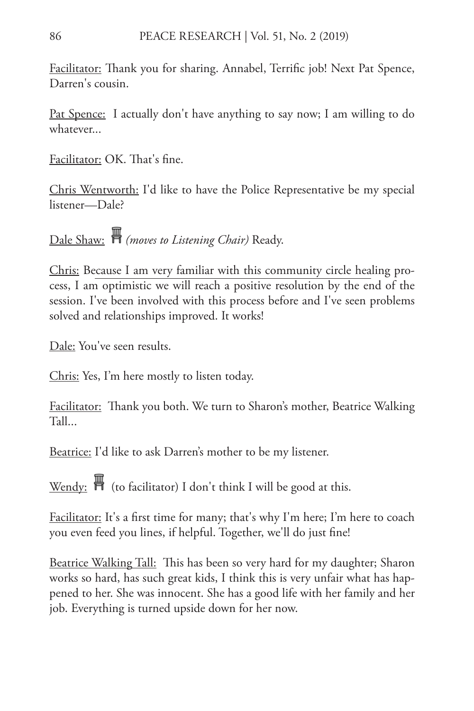Facilitator: Thank you for sharing. Annabel, Terrific job! Next Pat Spence, Darren's cousin.

<u>Pat Spence:</u> I actually don't have anything to say now; I am willing to do whatever...

Facilitator: OK. That's fine.

Chris Wentworth: I'd like to have the Police Representative be my special listener—Dale?

Dale Shaw: *(moves to Listening Chair)* Ready.

Chris: Because I am very familiar with this community circle healing process, I am optimistic we will reach a positive resolution by the end of the session. I've been involved with this process before and I've seen problems solved and relationships improved. It works!

Dale: You've seen results.

Chris: Yes, I'm here mostly to listen today.

Facilitator: Thank you both. We turn to Sharon's mother, Beatrice Walking Tall...

Beatrice: I'd like to ask Darren's mother to be my listener.

Wendy:  $\overline{\mathbb{H}}$  (to facilitator) I don't think I will be good at this.

Facilitator: It's a first time for many; that's why I'm here; I'm here to coach you even feed you lines, if helpful. Together, we'll do just fine!

Beatrice Walking Tall: This has been so very hard for my daughter; Sharon works so hard, has such great kids, I think this is very unfair what has happened to her. She was innocent. She has a good life with her family and her job. Everything is turned upside down for her now.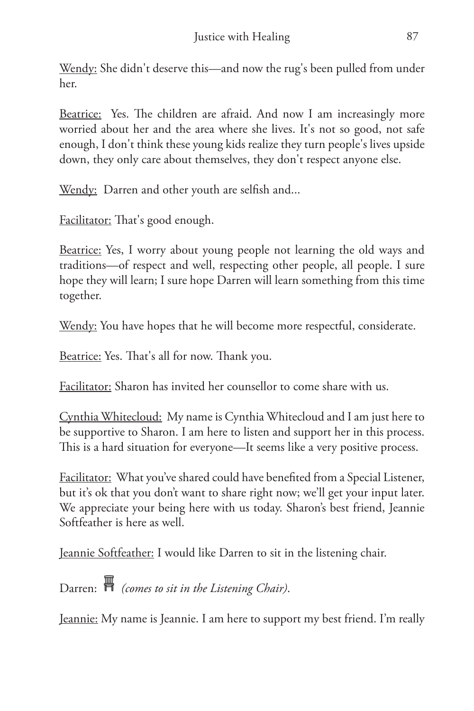Wendy: She didn't deserve this—and now the rug's been pulled from under her.

Beatrice: Yes. The children are afraid. And now I am increasingly more worried about her and the area where she lives. It's not so good, not safe enough, I don't think these young kids realize they turn people's lives upside down, they only care about themselves, they don't respect anyone else.

<u>Wendy:</u> Darren and other youth are selfish and...

Facilitator: That's good enough.

Beatrice: Yes, I worry about young people not learning the old ways and traditions—of respect and well, respecting other people, all people. I sure hope they will learn; I sure hope Darren will learn something from this time together.

Wendy: You have hopes that he will become more respectful, considerate.

Beatrice: Yes. That's all for now. Thank you.

Facilitator: Sharon has invited her counsellor to come share with us.

Cynthia Whitecloud: My name is Cynthia Whitecloud and I am just here to be supportive to Sharon. I am here to listen and support her in this process. This is a hard situation for everyone—It seems like a very positive process.

Facilitator: What you've shared could have benefited from a Special Listener, but it's ok that you don't want to share right now; we'll get your input later. We appreciate your being here with us today. Sharon's best friend, Jeannie Softfeather is here as well.

Jeannie Softfeather: I would like Darren to sit in the listening chair.

Darren: **A** (comes to sit in the Listening Chair).

Jeannie: My name is Jeannie. I am here to support my best friend. I'm really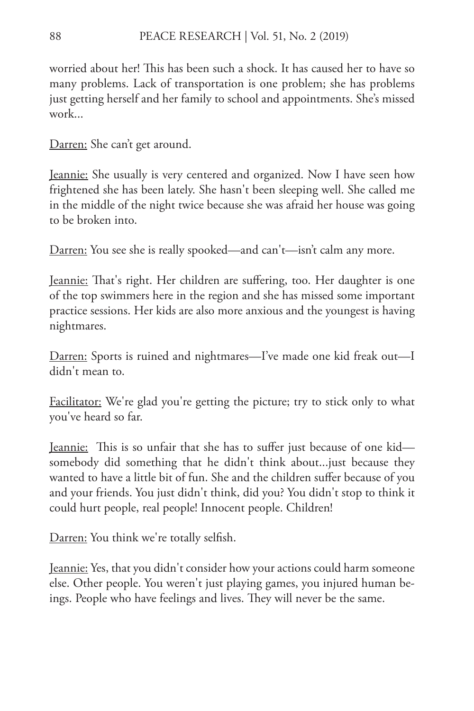worried about her! This has been such a shock. It has caused her to have so many problems. Lack of transportation is one problem; she has problems just getting herself and her family to school and appointments. She's missed work...

Darren: She can't get around.

Jeannie: She usually is very centered and organized. Now I have seen how frightened she has been lately. She hasn't been sleeping well. She called me in the middle of the night twice because she was afraid her house was going to be broken into.

Darren: You see she is really spooked—and can't—isn't calm any more.

Jeannie: That's right. Her children are suffering, too. Her daughter is one of the top swimmers here in the region and she has missed some important practice sessions. Her kids are also more anxious and the youngest is having nightmares.

Darren: Sports is ruined and nightmares—I've made one kid freak out—I didn't mean to.

Facilitator: We're glad you're getting the picture; try to stick only to what you've heard so far.

Jeannie: This is so unfair that she has to suffer just because of one kid somebody did something that he didn't think about...just because they wanted to have a little bit of fun. She and the children suffer because of you and your friends. You just didn't think, did you? You didn't stop to think it could hurt people, real people! Innocent people. Children!

Darren: You think we're totally selfish.

Jeannie: Yes, that you didn't consider how your actions could harm someone else. Other people. You weren't just playing games, you injured human beings. People who have feelings and lives. They will never be the same.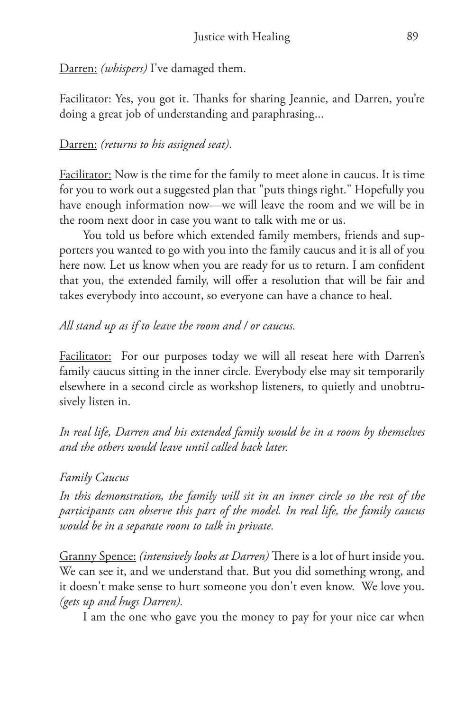Darren: *(whispers)* I've damaged them.

Facilitator: Yes, you got it. Thanks for sharing Jeannie, and Darren, you're doing a great job of understanding and paraphrasing...

Darren: *(returns to his assigned seat)*.

Facilitator: Now is the time for the family to meet alone in caucus. It is time for you to work out a suggested plan that "puts things right." Hopefully you have enough information now—we will leave the room and we will be in the room next door in case you want to talk with me or us.

You told us before which extended family members, friends and supporters you wanted to go with you into the family caucus and it is all of you here now. Let us know when you are ready for us to return. I am confident that you, the extended family, will offer a resolution that will be fair and takes everybody into account, so everyone can have a chance to heal.

### *All stand up as if to leave the room and / or caucus.*

Facilitator: For our purposes today we will all reseat here with Darren's family caucus sitting in the inner circle. Everybody else may sit temporarily elsewhere in a second circle as workshop listeners, to quietly and unobtrusively listen in.

*In real life, Darren and his extended family would be in a room by themselves and the others would leave until called back later.*

*Family Caucus*

*In this demonstration, the family will sit in an inner circle so the rest of the participants can observe this part of the model. In real life, the family caucus would be in a separate room to talk in private.*

Granny Spence: *(intensively looks at Darren)* There is a lot of hurt inside you. We can see it, and we understand that. But you did something wrong, and it doesn't make sense to hurt someone you don't even know. We love you. *(gets up and hugs Darren).*

I am the one who gave you the money to pay for your nice car when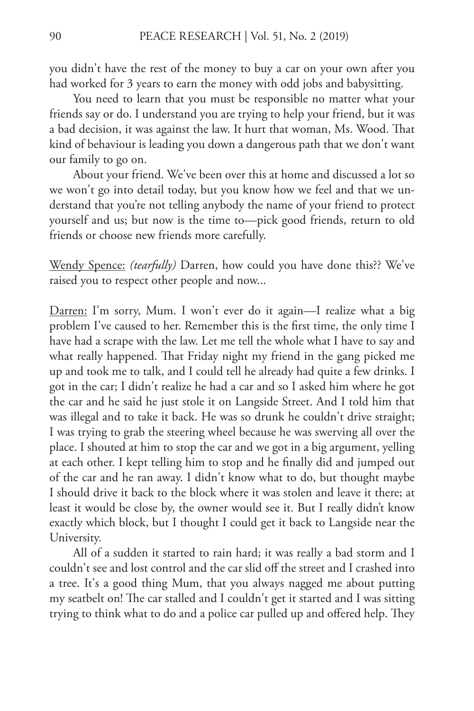you didn't have the rest of the money to buy a car on your own after you had worked for 3 years to earn the money with odd jobs and babysitting.

You need to learn that you must be responsible no matter what your friends say or do. I understand you are trying to help your friend, but it was a bad decision, it was against the law. It hurt that woman, Ms. Wood. That kind of behaviour is leading you down a dangerous path that we don't want our family to go on.

About your friend. We've been over this at home and discussed a lot so we won't go into detail today, but you know how we feel and that we understand that you're not telling anybody the name of your friend to protect yourself and us; but now is the time to—pick good friends, return to old friends or choose new friends more carefully.

Wendy Spence: *(tearfully)* Darren, how could you have done this?? We've raised you to respect other people and now...

Darren: I'm sorry, Mum. I won't ever do it again—I realize what a big problem I've caused to her. Remember this is the first time, the only time I have had a scrape with the law. Let me tell the whole what I have to say and what really happened. That Friday night my friend in the gang picked me up and took me to talk, and I could tell he already had quite a few drinks. I got in the car; I didn't realize he had a car and so I asked him where he got the car and he said he just stole it on Langside Street. And I told him that was illegal and to take it back. He was so drunk he couldn't drive straight; I was trying to grab the steering wheel because he was swerving all over the place. I shouted at him to stop the car and we got in a big argument, yelling at each other. I kept telling him to stop and he finally did and jumped out of the car and he ran away. I didn't know what to do, but thought maybe I should drive it back to the block where it was stolen and leave it there; at least it would be close by, the owner would see it. But I really didn't know exactly which block, but I thought I could get it back to Langside near the University.

All of a sudden it started to rain hard; it was really a bad storm and I couldn't see and lost control and the car slid off the street and I crashed into a tree. It's a good thing Mum, that you always nagged me about putting my seatbelt on! The car stalled and I couldn't get it started and I was sitting trying to think what to do and a police car pulled up and offered help. They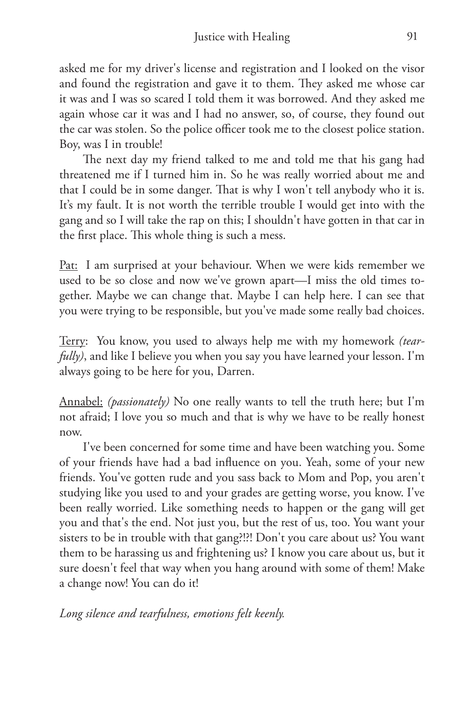asked me for my driver's license and registration and I looked on the visor and found the registration and gave it to them. They asked me whose car it was and I was so scared I told them it was borrowed. And they asked me again whose car it was and I had no answer, so, of course, they found out the car was stolen. So the police officer took me to the closest police station. Boy, was I in trouble!

The next day my friend talked to me and told me that his gang had threatened me if I turned him in. So he was really worried about me and that I could be in some danger. That is why I won't tell anybody who it is. It's my fault. It is not worth the terrible trouble I would get into with the gang and so I will take the rap on this; I shouldn't have gotten in that car in the first place. This whole thing is such a mess.

Pat: I am surprised at your behaviour. When we were kids remember we used to be so close and now we've grown apart—I miss the old times together. Maybe we can change that. Maybe I can help here. I can see that you were trying to be responsible, but you've made some really bad choices.

Terry: You know, you used to always help me with my homework *(tearfully)*, and like I believe you when you say you have learned your lesson. I'm always going to be here for you, Darren.

Annabel: *(passionately)* No one really wants to tell the truth here; but I'm not afraid; I love you so much and that is why we have to be really honest now.

I've been concerned for some time and have been watching you. Some of your friends have had a bad influence on you. Yeah, some of your new friends. You've gotten rude and you sass back to Mom and Pop, you aren't studying like you used to and your grades are getting worse, you know. I've been really worried. Like something needs to happen or the gang will get you and that's the end. Not just you, but the rest of us, too. You want your sisters to be in trouble with that gang?!?! Don't you care about us? You want them to be harassing us and frightening us? I know you care about us, but it sure doesn't feel that way when you hang around with some of them! Make a change now! You can do it!

*Long silence and tearfulness, emotions felt keenly.*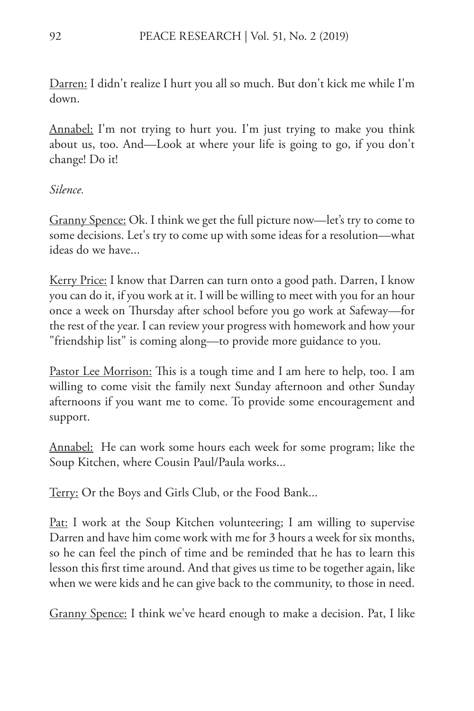Darren: I didn't realize I hurt you all so much. But don't kick me while I'm down.

Annabel: I'm not trying to hurt you. I'm just trying to make you think about us, too. And—Look at where your life is going to go, if you don't change! Do it!

*Silence.*

Granny Spence: Ok. I think we get the full picture now—let's try to come to some decisions. Let's try to come up with some ideas for a resolution—what ideas do we have...

<u>Kerry Price:</u> I know that Darren can turn onto a good path. Darren, I know you can do it, if you work at it. I will be willing to meet with you for an hour once a week on Thursday after school before you go work at Safeway—for the rest of the year. I can review your progress with homework and how your "friendship list" is coming along—to provide more guidance to you.

Pastor Lee Morrison: This is a tough time and I am here to help, too. I am willing to come visit the family next Sunday afternoon and other Sunday afternoons if you want me to come. To provide some encouragement and support.

<u>Annabel:</u> He can work some hours each week for some program; like the Soup Kitchen, where Cousin Paul/Paula works...

<u>Terry:</u> Or the Boys and Girls Club, or the Food Bank...

Pat: I work at the Soup Kitchen volunteering; I am willing to supervise Darren and have him come work with me for 3 hours a week for six months, so he can feel the pinch of time and be reminded that he has to learn this lesson this first time around. And that gives us time to be together again, like when we were kids and he can give back to the community, to those in need.

Granny Spence: I think we've heard enough to make a decision. Pat, I like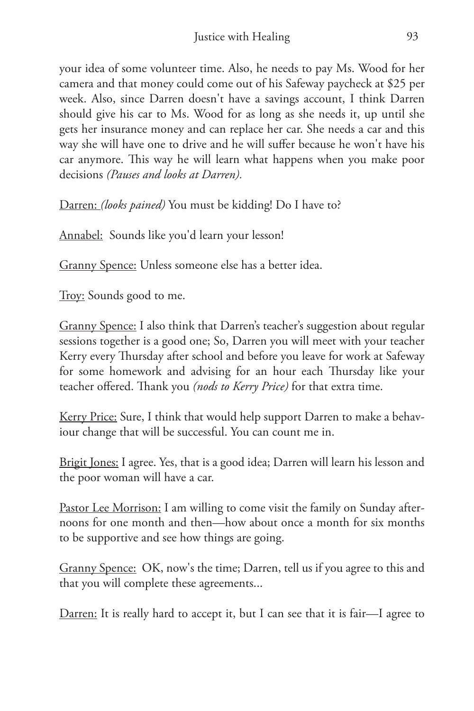your idea of some volunteer time. Also, he needs to pay Ms. Wood for her camera and that money could come out of his Safeway paycheck at \$25 per week. Also, since Darren doesn't have a savings account, I think Darren should give his car to Ms. Wood for as long as she needs it, up until she gets her insurance money and can replace her car. She needs a car and this way she will have one to drive and he will suffer because he won't have his car anymore. This way he will learn what happens when you make poor decisions *(Pauses and looks at Darren).*

Darren: *(looks pained)* You must be kidding! Do I have to?

Annabel: Sounds like you'd learn your lesson!

Granny Spence: Unless someone else has a better idea.

Troy: Sounds good to me.

Granny Spence: I also think that Darren's teacher's suggestion about regular sessions together is a good one; So, Darren you will meet with your teacher Kerry every Thursday after school and before you leave for work at Safeway for some homework and advising for an hour each Thursday like your teacher offered. Thank you *(nods to Kerry Price)* for that extra time.

Kerry Price: Sure, I think that would help support Darren to make a behaviour change that will be successful. You can count me in.

Brigit Jones: I agree. Yes, that is a good idea; Darren will learn his lesson and the poor woman will have a car.

Pastor Lee Morrison: I am willing to come visit the family on Sunday afternoons for one month and then—how about once a month for six months to be supportive and see how things are going.

Granny Spence: OK, now's the time; Darren, tell us if you agree to this and that you will complete these agreements...

Darren: It is really hard to accept it, but I can see that it is fair—I agree to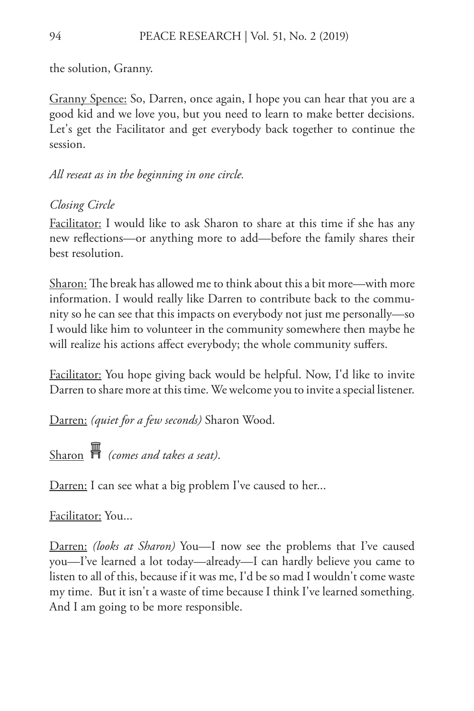the solution, Granny.

Granny Spence: So, Darren, once again, I hope you can hear that you are a good kid and we love you, but you need to learn to make better decisions. Let's get the Facilitator and get everybody back together to continue the session.

*All reseat as in the beginning in one circle.*

*Closing Circle*

Facilitator: I would like to ask Sharon to share at this time if she has any new reflections—or anything more to add—before the family shares their best resolution.

Sharon: The break has allowed me to think about this a bit more—with more information. I would really like Darren to contribute back to the community so he can see that this impacts on everybody not just me personally—so I would like him to volunteer in the community somewhere then maybe he will realize his actions affect everybody; the whole community suffers.

Facilitator: You hope giving back would be helpful. Now, I'd like to invite Darren to share more at this time. We welcome you to invite a special listener.

Darren: *(quiet for a few seconds)* Sharon Wood.

Sharon *(comes and takes a seat)*.

Darren: I can see what a big problem I've caused to her...

Facilitator: You...

Darren: *(looks at Sharon)* You—I now see the problems that I've caused you—I've learned a lot today—already—I can hardly believe you came to listen to all of this, because if it was me, I'd be so mad I wouldn't come waste my time. But it isn't a waste of time because I think I've learned something. And I am going to be more responsible.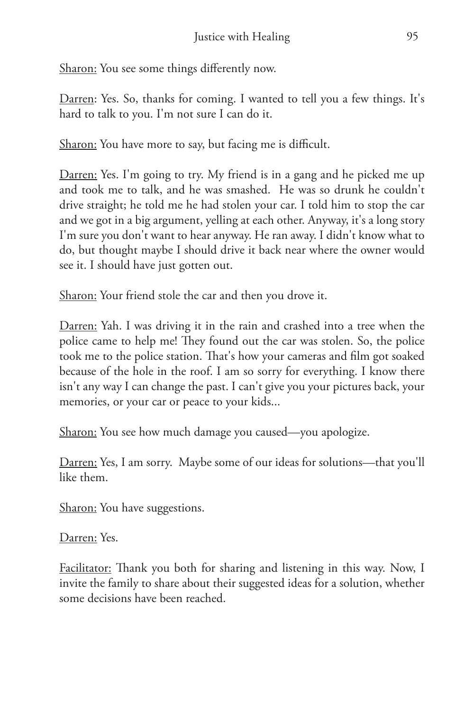Sharon: You see some things differently now.

Darren: Yes. So, thanks for coming. I wanted to tell you a few things. It's hard to talk to you. I'm not sure I can do it.

Sharon: You have more to say, but facing me is difficult.

Darren: Yes. I'm going to try. My friend is in a gang and he picked me up and took me to talk, and he was smashed. He was so drunk he couldn't drive straight; he told me he had stolen your car. I told him to stop the car and we got in a big argument, yelling at each other. Anyway, it's a long story I'm sure you don't want to hear anyway. He ran away. I didn't know what to do, but thought maybe I should drive it back near where the owner would see it. I should have just gotten out.

Sharon: Your friend stole the car and then you drove it.

Darren: Yah. I was driving it in the rain and crashed into a tree when the police came to help me! They found out the car was stolen. So, the police took me to the police station. That's how your cameras and film got soaked because of the hole in the roof. I am so sorry for everything. I know there isn't any way I can change the past. I can't give you your pictures back, your memories, or your car or peace to your kids...

Sharon: You see how much damage you caused—you apologize.

Darren: Yes, I am sorry. Maybe some of our ideas for solutions—that you'll like them.

Sharon: You have suggestions.

Darren: Yes.

Facilitator: Thank you both for sharing and listening in this way. Now, I invite the family to share about their suggested ideas for a solution, whether some decisions have been reached.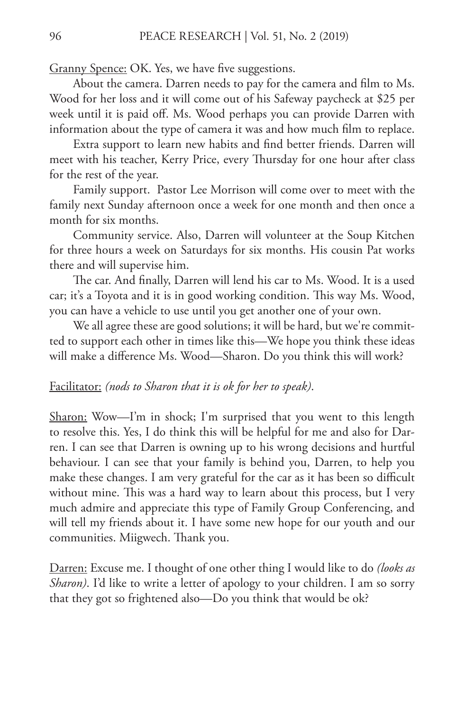Granny Spence: OK. Yes, we have five suggestions.

About the camera. Darren needs to pay for the camera and film to Ms. Wood for her loss and it will come out of his Safeway paycheck at \$25 per week until it is paid off. Ms. Wood perhaps you can provide Darren with information about the type of camera it was and how much film to replace.

Extra support to learn new habits and find better friends. Darren will meet with his teacher, Kerry Price, every Thursday for one hour after class for the rest of the year.

Family support. Pastor Lee Morrison will come over to meet with the family next Sunday afternoon once a week for one month and then once a month for six months.

Community service. Also, Darren will volunteer at the Soup Kitchen for three hours a week on Saturdays for six months. His cousin Pat works there and will supervise him.

The car. And finally, Darren will lend his car to Ms. Wood. It is a used car; it's a Toyota and it is in good working condition. This way Ms. Wood, you can have a vehicle to use until you get another one of your own.

We all agree these are good solutions; it will be hard, but we're committed to support each other in times like this—We hope you think these ideas will make a difference Ms. Wood—Sharon. Do you think this will work?

#### Facilitator: *(nods to Sharon that it is ok for her to speak)*.

Sharon: Wow—I'm in shock; I'm surprised that you went to this length to resolve this. Yes, I do think this will be helpful for me and also for Darren. I can see that Darren is owning up to his wrong decisions and hurtful behaviour. I can see that your family is behind you, Darren, to help you make these changes. I am very grateful for the car as it has been so difficult without mine. This was a hard way to learn about this process, but I very much admire and appreciate this type of Family Group Conferencing, and will tell my friends about it. I have some new hope for our youth and our communities. Miigwech. Thank you.

Darren: Excuse me. I thought of one other thing I would like to do *(looks as Sharon)*. I'd like to write a letter of apology to your children. I am so sorry that they got so frightened also—Do you think that would be ok?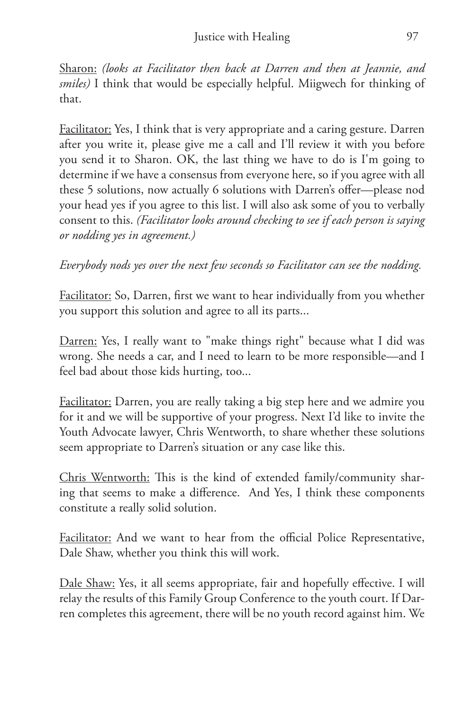Sharon: *(looks at Facilitator then back at Darren and then at Jeannie, and smiles)* I think that would be especially helpful. Miigwech for thinking of that.

Facilitator: Yes, I think that is very appropriate and a caring gesture. Darren after you write it, please give me a call and I'll review it with you before you send it to Sharon. OK, the last thing we have to do is I'm going to determine if we have a consensus from everyone here, so if you agree with all these 5 solutions, now actually 6 solutions with Darren's offer—please nod your head yes if you agree to this list. I will also ask some of you to verbally consent to this. *(Facilitator looks around checking to see if each person is saying or nodding yes in agreement.)*

*Everybody nods yes over the next few seconds so Facilitator can see the nodding.*

Facilitator: So, Darren, first we want to hear individually from you whether you support this solution and agree to all its parts...

Darren: Yes, I really want to "make things right" because what I did was wrong. She needs a car, and I need to learn to be more responsible—and I feel bad about those kids hurting, too...

Facilitator: Darren, you are really taking a big step here and we admire you for it and we will be supportive of your progress. Next I'd like to invite the Youth Advocate lawyer, Chris Wentworth, to share whether these solutions seem appropriate to Darren's situation or any case like this.

Chris Wentworth: This is the kind of extended family/community sharing that seems to make a difference. And Yes, I think these components constitute a really solid solution.

Facilitator: And we want to hear from the official Police Representative, Dale Shaw, whether you think this will work.

Dale Shaw: Yes, it all seems appropriate, fair and hopefully effective. I will relay the results of this Family Group Conference to the youth court. If Darren completes this agreement, there will be no youth record against him. We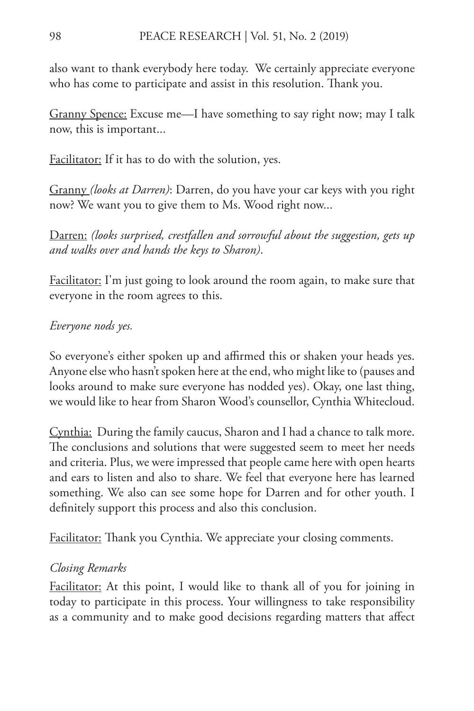also want to thank everybody here today. We certainly appreciate everyone who has come to participate and assist in this resolution. Thank you.

Granny Spence: Excuse me—I have something to say right now; may I talk now, this is important...

Facilitator: If it has to do with the solution, yes.

Granny *(looks at Darren)*: Darren, do you have your car keys with you right now? We want you to give them to Ms. Wood right now...

Darren: *(looks surprised, crestfallen and sorrowful about the suggestion, gets up and walks over and hands the keys to Sharon)*.

Facilitator: I'm just going to look around the room again, to make sure that everyone in the room agrees to this.

## *Everyone nods yes.*

So everyone's either spoken up and affirmed this or shaken your heads yes. Anyone else who hasn't spoken here at the end, who might like to (pauses and looks around to make sure everyone has nodded yes). Okay, one last thing, we would like to hear from Sharon Wood's counsellor, Cynthia Whitecloud.

Cynthia: During the family caucus, Sharon and I had a chance to talk more. The conclusions and solutions that were suggested seem to meet her needs and criteria. Plus, we were impressed that people came here with open hearts and ears to listen and also to share. We feel that everyone here has learned something. We also can see some hope for Darren and for other youth. I definitely support this process and also this conclusion.

Facilitator: Thank you Cynthia. We appreciate your closing comments.

## *Closing Remarks*

Facilitator: At this point, I would like to thank all of you for joining in today to participate in this process. Your willingness to take responsibility as a community and to make good decisions regarding matters that affect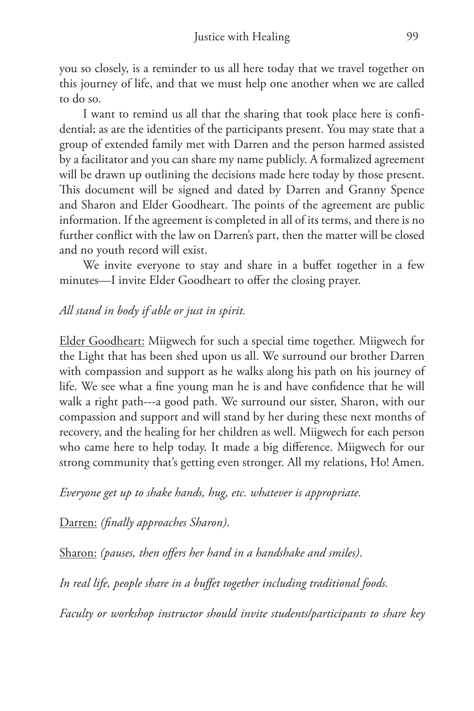you so closely, is a reminder to us all here today that we travel together on this journey of life, and that we must help one another when we are called to do so.

I want to remind us all that the sharing that took place here is confidential; as are the identities of the participants present. You may state that a group of extended family met with Darren and the person harmed assisted by a facilitator and you can share my name publicly. A formalized agreement will be drawn up outlining the decisions made here today by those present. This document will be signed and dated by Darren and Granny Spence and Sharon and Elder Goodheart. The points of the agreement are public information. If the agreement is completed in all of its terms, and there is no further conflict with the law on Darren's part, then the matter will be closed and no youth record will exist.

We invite everyone to stay and share in a buffet together in a few minutes—I invite Elder Goodheart to offer the closing prayer.

### *All stand in body if able or just in spirit.*

Elder Goodheart: Miigwech for such a special time together. Miigwech for the Light that has been shed upon us all. We surround our brother Darren with compassion and support as he walks along his path on his journey of life. We see what a fine young man he is and have confidence that he will walk a right path---a good path. We surround our sister, Sharon, with our compassion and support and will stand by her during these next months of recovery, and the healing for her children as well. Miigwech for each person who came here to help today. It made a big difference. Miigwech for our strong community that's getting even stronger. All my relations, Ho! Amen.

*Everyone get up to shake hands, hug, etc. whatever is appropriate.*

Darren: *(finally approaches Sharon)*.

Sharon: *(pauses, then offers her hand in a handshake and smiles)*.

*In real life, people share in a buffet together including traditional foods.* 

*Faculty or workshop instructor should invite students/participants to share key*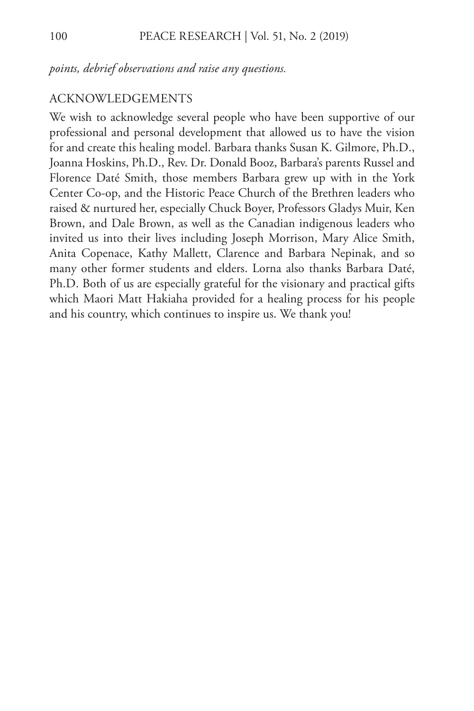*points, debrief observations and raise any questions.*

#### ACKNOWLEDGEMENTS

We wish to acknowledge several people who have been supportive of our professional and personal development that allowed us to have the vision for and create this healing model. Barbara thanks Susan K. Gilmore, Ph.D., Joanna Hoskins, Ph.D., Rev. Dr. Donald Booz, Barbara's parents Russel and Florence Daté Smith, those members Barbara grew up with in the York Center Co-op, and the Historic Peace Church of the Brethren leaders who raised & nurtured her, especially Chuck Boyer, Professors Gladys Muir, Ken Brown, and Dale Brown, as well as the Canadian indigenous leaders who invited us into their lives including Joseph Morrison, Mary Alice Smith, Anita Copenace, Kathy Mallett, Clarence and Barbara Nepinak, and so many other former students and elders. Lorna also thanks Barbara Daté, Ph.D. Both of us are especially grateful for the visionary and practical gifts which Maori Matt Hakiaha provided for a healing process for his people and his country, which continues to inspire us. We thank you!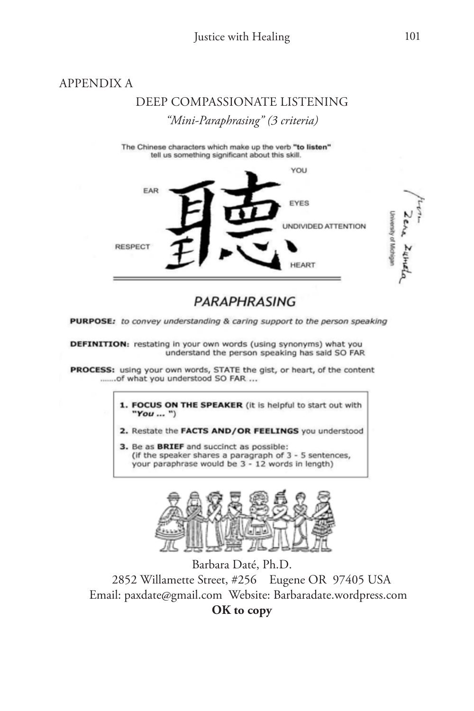#### APPENDIX A

## DEEP COMPASSIONATE LISTENING *"Mini-Paraphrasing" (3 criteria)*

The Chinese characters which make up the verb "to listen" tell us something significant about this skill.



### PARAPHRASING

PURPOSE: to convey understanding & caring support to the person speaking

DEFINITION: restating in your own words (using synonyms) what you understand the person speaking has said SO FAR

PROCESS: using your own words, STATE the gist, or heart, of the content .......of what you understood SO FAR ...

> 1. FOCUS ON THE SPEAKER (it is helpful to start out with "You ... ")

2. Restate the FACTS AND/OR FEELINGS you understood

3. Be as BRIEF and succinct as possible: (if the speaker shares a paragraph of 3 - 5 sentences, your paraphrase would be 3 - 12 words in length)



Barbara Daté, Ph.D. 2852 Willamette Street, #256 Eugene OR 97405 USA Email: paxdate@gmail.com Website: Barbaradate.wordpress.com **OK to copy**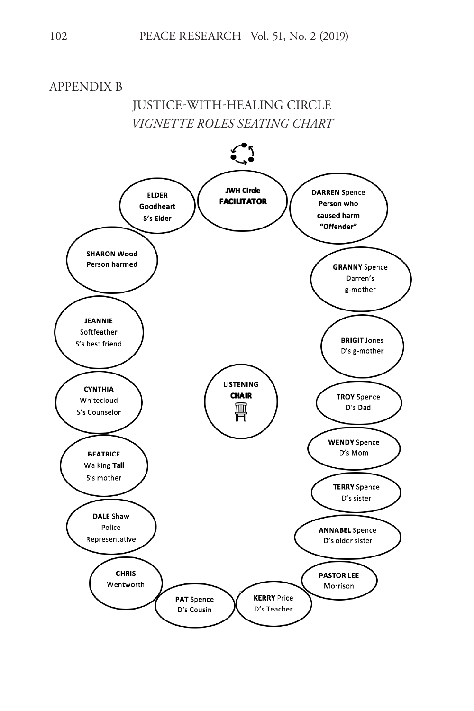APPENDIX B

JUSTICE-WITH-HEALING CIRCLE *VIGNETTE ROLES SEATING CHART*

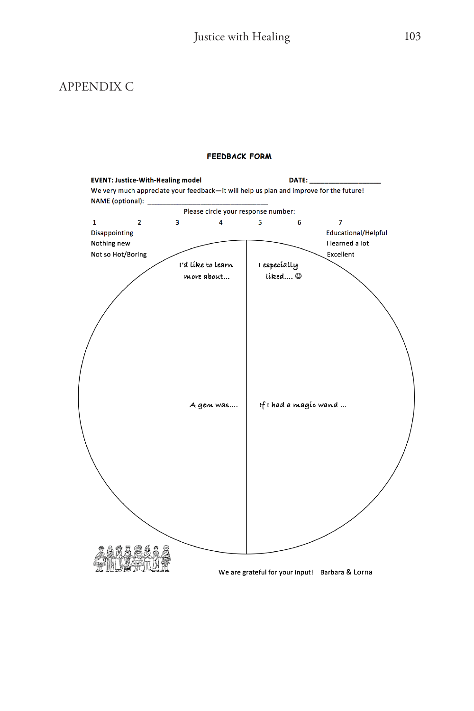### APPENDIX C

#### **FEEDBACK FORM**